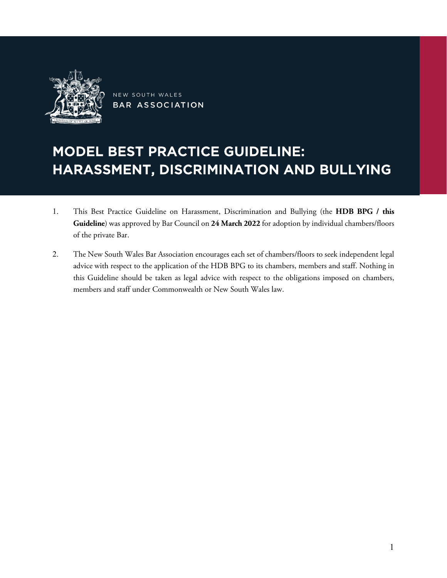

NEW SOUTH WALES **BAR ASSOCIATION** 

# MODEL BEST PRACTICE GUIDELINE: HARASSMENT, DISCRIMINATION AND BULLYING

- 1. This Best Practice Guideline on Harassment, Discrimination and Bullying (the **HDB BPG / this Guideline**) was approved by Bar Council on **24 March 2022** for adoption by individual chambers/floors of the private Bar.
- 2. The New South Wales Bar Association encourages each set of chambers/floors to seek independent legal advice with respect to the application of the HDB BPG to its chambers, members and staff. Nothing in this Guideline should be taken as legal advice with respect to the obligations imposed on chambers, members and staff under Commonwealth or New South Wales law.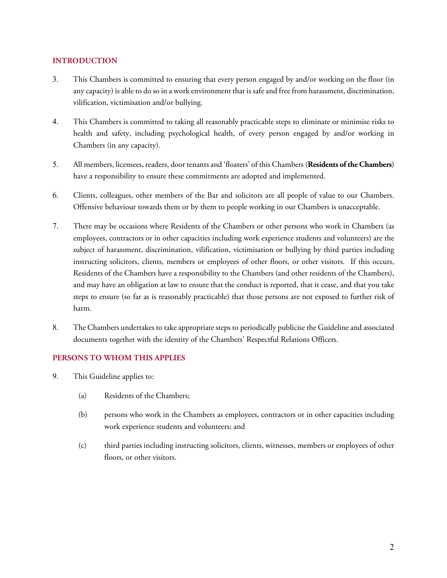## **INTRODUCTION**

- 3. This Chambers is committed to ensuring that every person engaged by and/or working on the floor (in any capacity) is able to do so in a work environment that is safe and free from harassment, discrimination, vilification, victimisation and/or bullying.
- 4. This Chambers is committed to taking all reasonably practicable steps to eliminate or minimise risks to health and safety, including psychological health, of every person engaged by and/or working in Chambers (in any capacity).
- 5. All members, licensees, readers, door tenants and 'floaters' of this Chambers (**Residents of the Chambers**) have a responsibility to ensure these commitments are adopted and implemented.
- 6. Clients, colleagues, other members of the Bar and solicitors are all people of value to our Chambers. Offensive behaviour towards them or by them to people working in our Chambers is unacceptable.
- 7. There may be occasions where Residents of the Chambers or other persons who work in Chambers (as employees, contractors or in other capacities including work experience students and volunteers) are the subject of harassment, discrimination, vilification, victimisation or bullying by third parties including instructing solicitors, clients, members or employees of other floors, or other visitors. If this occurs, Residents of the Chambers have a responsibility to the Chambers (and other residents of the Chambers), and may have an obligation at law to ensure that the conduct is reported, that it cease, and that you take steps to ensure (so far as is reasonably practicable) that those persons are not exposed to further risk of harm.
- 8. The Chambers undertakes to take appropriate steps to periodically publicise the Guideline and associated documents together with the identity of the Chambers' Respectful Relations Officers.

### **PERSONS TO WHOM THIS APPLIES**

- 9. This Guideline applies to:
	- (a) Residents of the Chambers;
	- (b) persons who work in the Chambers as employees, contractors or in other capacities including work experience students and volunteers; and
	- (c) third parties including instructing solicitors, clients, witnesses, members or employees of other floors, or other visitors.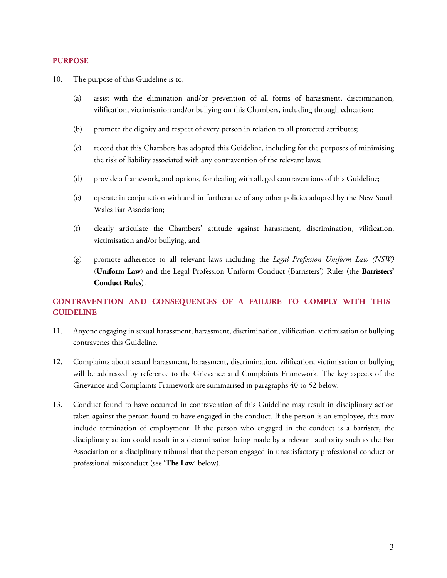### **PURPOSE**

- 10. The purpose of this Guideline is to:
	- (a) assist with the elimination and/or prevention of all forms of harassment, discrimination, vilification, victimisation and/or bullying on this Chambers, including through education;
	- (b) promote the dignity and respect of every person in relation to all protected attributes;
	- (c) record that this Chambers has adopted this Guideline, including for the purposes of minimising the risk of liability associated with any contravention of the relevant laws;
	- (d) provide a framework, and options, for dealing with alleged contraventions of this Guideline;
	- (e) operate in conjunction with and in furtherance of any other policies adopted by the New South Wales Bar Association;
	- (f) clearly articulate the Chambers' attitude against harassment, discrimination, vilification, victimisation and/or bullying; and
	- (g) promote adherence to all relevant laws including the *Legal Profession Uniform Law (NSW)*  (**Uniform Law**) and the Legal Profession Uniform Conduct (Barristers') Rules (the **Barristers' Conduct Rules**).

## **CONTRAVENTION AND CONSEQUENCES OF A FAILURE TO COMPLY WITH THIS GUIDELINE**

- 11. Anyone engaging in sexual harassment, harassment, discrimination, vilification, victimisation or bullying contravenes this Guideline.
- <span id="page-2-0"></span>12. Complaints about sexual harassment, harassment, discrimination, vilification, victimisation or bullying will be addressed by reference to the Grievance and Complaints Framework. The key aspects of the Grievance and Complaints Framework are summarised in paragraphs [40](#page-7-0) to [52](#page-10-0) below.
- 13. Conduct found to have occurred in contravention of this Guideline may result in disciplinary action taken against the person found to have engaged in the conduct. If the person is an employee, this may include termination of employment. If the person who engaged in the conduct is a barrister, the disciplinary action could result in a determination being made by a relevant authority such as the Bar Association or a disciplinary tribunal that the person engaged in unsatisfactory professional conduct or professional misconduct (see '**The Law**' below).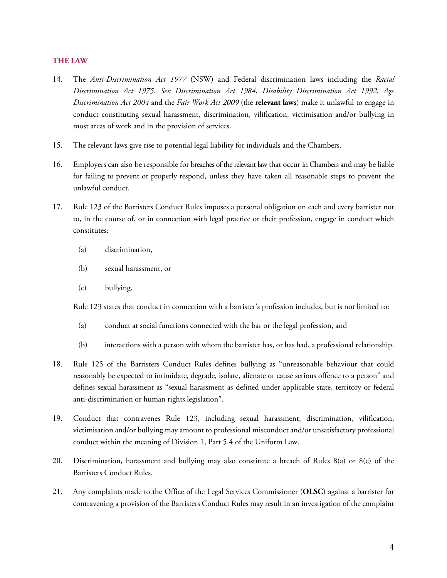### **THE LAW**

- 14. The *Anti-Discrimination Act 1977* (NSW) and Federal discrimination laws including the *Racial Discrimination Act 1975*, *Sex Discrimination Act 1984*, *Disability Discrimination Act 1992*, *Age Discrimination Act 2004* and the *Fair Work Act 2009* (the **relevant laws**) make it unlawful to engage in conduct constituting sexual harassment, discrimination, vilification, victimisation and/or bullying in most areas of work and in the provision of services.
- 15. The relevant laws give rise to potential legal liability for individuals and the Chambers.
- 16. Employers can also be responsible for breaches of the relevant law that occur in Chambers and may be liable for failing to prevent or properly respond, unless they have taken all reasonable steps to prevent the unlawful conduct.
- 17. Rule 123 of the Barristers Conduct Rules imposes a personal obligation on each and every barrister not to, in the course of, or in connection with legal practice or their profession, engage in conduct which constitutes:
	- (a) discrimination,
	- (b) sexual harassment, or
	- (c) bullying.

Rule 123 states that conduct in connection with a barrister's profession includes, but is not limited to:

- (a) conduct at social functions connected with the bar or the legal profession, and
- (b) interactions with a person with whom the barrister has, or has had, a professional relationship.
- 18. Rule 125 of the Barristers Conduct Rules defines bullying as "unreasonable behaviour that could reasonably be expected to intimidate, degrade, isolate, alienate or cause serious offence to a person" and defines sexual harassment as "sexual harassment as defined under applicable state, territory or federal anti-discrimination or human rights legislation".
- 19. Conduct that contravenes Rule 123, including sexual harassment, discrimination, vilification, victimisation and/or bullying may amount to professional misconduct and/or unsatisfactory professional conduct within the meaning of Division 1, Part 5.4 of the Uniform Law.
- 20. Discrimination, harassment and bullying may also constitute a breach of Rules 8(a) or 8(c) of the Barristers Conduct Rules.
- 21. Any complaints made to the Office of the Legal Services Commissioner (**OLSC**) against a barrister for contravening a provision of the Barristers Conduct Rules may result in an investigation of the complaint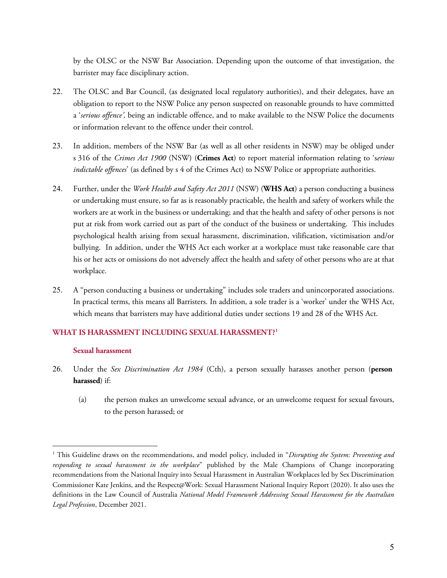by the OLSC or the NSW Bar Association. Depending upon the outcome of that investigation, the barrister may face disciplinary action.

- 22. The OLSC and Bar Council, (as designated local regulatory authorities), and their delegates, have an obligation to report to the NSW Police any person suspected on reasonable grounds to have committed a '*serious offence',* being an indictable offence, and to make available to the NSW Police the documents or information relevant to the offence under their control.
- 23. In addition, members of the NSW Bar (as well as all other residents in NSW) may be obliged under s 316 of the *Crimes Act 1900* (NSW) (**Crimes Act**) to report material information relating to 's*erious indictable offences*' (as defined by s 4 of the Crimes Act) to NSW Police or appropriate authorities.
- 24. Further, under the *Work Health and Safety Act 2011* (NSW) (**WHS Act**) a person conducting a business or undertaking must ensure, so far as is reasonably practicable, the health and safety of workers while the workers are at work in the business or undertaking; and that the health and safety of other persons is not put at risk from work carried out as part of the conduct of the business or undertaking. This includes psychological health arising from sexual harassment, discrimination, vilification, victimisation and/or bullying. In addition, under the WHS Act each worker at a workplace must take reasonable care that his or her acts or omissions do not adversely affect the health and safety of other persons who are at that workplace.
- 25. A "person conducting a business or undertaking" includes sole traders and unincorporated associations. In practical terms, this means all Barristers. In addition, a sole trader is a 'worker' under the WHS Act, which means that barristers may have additional duties under sections 19 and 28 of the WHS Act.

## **WHAT IS HARASSMENT INCLUDING SEXUAL HARASSMENT? [1](#page-4-0)**

#### **Sexual harassment**

- 26. Under the *Sex Discrimination Act 1984* (Cth), a person sexually harasses another person (**person harassed**) if:
	- (a) the person makes an unwelcome sexual advance, or an unwelcome request for sexual favours, to the person harassed; or

<span id="page-4-0"></span> $\overline{a}$ <sup>1</sup> This Guideline draws on the recommendations, and model policy, included in "Disrupting the System: Preventing and *responding to sexual harassment in the workplace*" published by the Male Champions of Change incorporating recommendations from the National Inquiry into Sexual Harassment in Australian Workplaces led by Sex Discrimination Commissioner Kate Jenkins, and the Respect@Work: Sexual Harassment National Inquiry Report (2020). It also uses the definitions in the Law Council of Australia *National Model Framework Addressing Sexual Harassment for the Australian Legal Profession*, December 2021.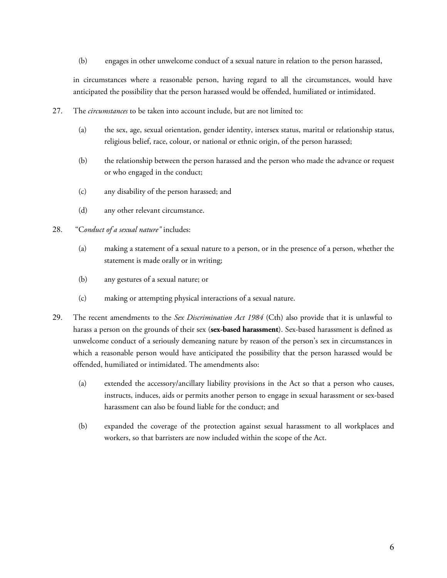(b) engages in other unwelcome conduct of a sexual nature in relation to the person harassed,

in circumstances where a reasonable person, having regard to all the circumstances, would have anticipated the possibility that the person harassed would be offended, humiliated or intimidated.

- 27. The *circumstances* to be taken into account include, but are not limited to:
	- (a) the sex, age, sexual orientation, gender identity, intersex status, marital or relationship status, religious belief, race, colour, or national or ethnic origin, of the person harassed;
	- (b) the relationship between the person harassed and the person who made the advance or request or who engaged in the conduct;
	- (c) any disability of the person harassed; and
	- (d) any other relevant circumstance.
- 28. "C*onduct of a sexual nature"* includes:
	- (a) making a statement of a sexual nature to a person, or in the presence of a person, whether the statement is made orally or in writing;
	- (b) any gestures of a sexual nature; or
	- (c) making or attempting physical interactions of a sexual nature.
- 29. The recent amendments to the *Sex Discrimination Act 1984* (Cth) also provide that it is unlawful to harass a person on the grounds of their sex (**sex-based harassment**). Sex-based harassment is defined as unwelcome conduct of a seriously demeaning nature by reason of the person's sex in circumstances in which a reasonable person would have anticipated the possibility that the person harassed would be offended, humiliated or intimidated. The amendments also:
	- (a) extended the accessory/ancillary liability provisions in the Act so that a person who causes, instructs, induces, aids or permits another person to engage in sexual harassment or sex-based harassment can also be found liable for the conduct; and
	- (b) expanded the coverage of the protection against sexual harassment to all workplaces and workers, so that barristers are now included within the scope of the Act.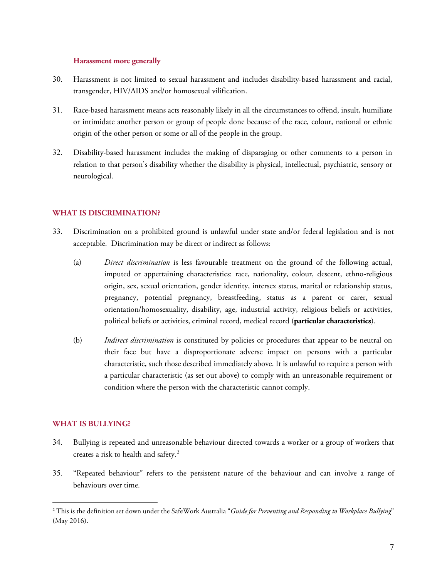#### **Harassment more generally**

- 30. Harassment is not limited to sexual harassment and includes disability-based harassment and racial, transgender, HIV/AIDS and/or homosexual vilification.
- 31. Race-based harassment means acts reasonably likely in all the circumstances to offend, insult, humiliate or intimidate another person or group of people done because of the race, colour, national or ethnic origin of the other person or some or all of the people in the group.
- 32. Disability-based harassment includes the making of disparaging or other comments to a person in relation to that person's disability whether the disability is physical, intellectual, psychiatric, sensory or neurological.

## **WHAT IS DISCRIMINATION?**

- 33. Discrimination on a prohibited ground is unlawful under state and/or federal legislation and is not acceptable. Discrimination may be direct or indirect as follows:
	- (a) *Direct discrimination* is less favourable treatment on the ground of the following actual, imputed or appertaining characteristics: race, nationality, colour, descent, ethno-religious origin, sex, sexual orientation, gender identity, intersex status, marital or relationship status, pregnancy, potential pregnancy, breastfeeding, status as a parent or carer, sexual orientation/homosexuality, disability, age, industrial activity, religious beliefs or activities, political beliefs or activities, criminal record, medical record (**particular characteristics**).
	- (b) *Indirect discrimination* is constituted by policies or procedures that appear to be neutral on their face but have a disproportionate adverse impact on persons with a particular characteristic, such those described immediately above. It is unlawful to require a person with a particular characteristic (as set out above) to comply with an unreasonable requirement or condition where the person with the characteristic cannot comply.

## **WHAT IS BULLYING?**

 $\overline{a}$ 

- 34. Bullying is repeated and unreasonable behaviour directed towards a worker or a group of workers that creates a risk to health and safety. $2$
- 35. "Repeated behaviour" refers to the persistent nature of the behaviour and can involve a range of behaviours over time.

<span id="page-6-0"></span><sup>2</sup> This is the definition set down under the SafeWork Australia "*Guide for Preventing and Responding to Workplace Bullying*" (May 2016).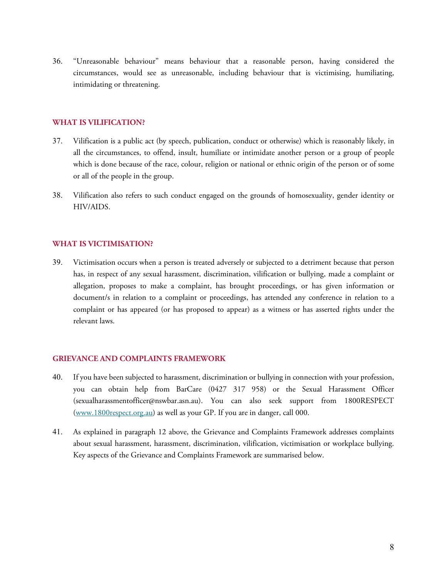36. "Unreasonable behaviour" means behaviour that a reasonable person, having considered the circumstances, would see as unreasonable, including behaviour that is victimising, humiliating, intimidating or threatening.

## **WHAT IS VILIFICATION?**

- 37. Vilification is a public act (by speech, publication, conduct or otherwise) which is reasonably likely, in all the circumstances, to offend, insult, humiliate or intimidate another [person](http://www.austlii.edu.au/cgi-bin/viewdoc/au/legis/cth/consol_act/rda1975202/s5.html#person) or a group of people which is done because of the race, colour, religion or national or ethnic origin of the [person](http://www.austlii.edu.au/cgi-bin/viewdoc/au/legis/cth/consol_act/rda1975202/s5.html#person) or of some or all of the people in the group.
- 38. Vilification also refers to such conduct engaged on the grounds of homosexuality, gender identity or HIV/AIDS.

## **WHAT IS VICTIMISATION?**

39. Victimisation occurs when a person is treated adversely or subjected to a detriment because that person has, in respect of any sexual harassment, discrimination, vilification or bullying, made a complaint or allegation, proposes to make a complaint, has brought proceedings, or has given information or document/s in relation to a complaint or proceedings, has attended any conference in relation to a complaint or has appeared (or has proposed to appear) as a witness or has asserted rights under the relevant laws.

### **GRIEVANCE AND COMPLAINTS FRAMEWORK**

- <span id="page-7-0"></span>40. If you have been subjected to harassment, discrimination or bullying in connection with your profession, you can obtain help from BarCare (0427 317 958) or the Sexual Harassment Officer (sexualharassmentofficer@nswbar.asn.au). You can also seek support from 1800RESPECT [\(www.1800respect.org.au\)](http://www.1800respect.org.au/) as well as your GP. If you are in danger, call 000.
- 41. As explained in paragraph [12](#page-2-0) above, the Grievance and Complaints Framework addresses complaints about sexual harassment, harassment, discrimination, vilification, victimisation or workplace bullying. Key aspects of the Grievance and Complaints Framework are summarised below.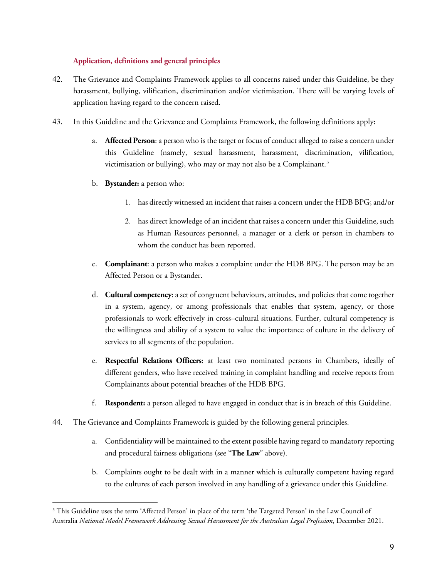## **Application, definitions and general principles**

- 42. The Grievance and Complaints Framework applies to all concerns raised under this Guideline, be they harassment, bullying, vilification, discrimination and/or victimisation. There will be varying levels of application having regard to the concern raised.
- 43. In this Guideline and the Grievance and Complaints Framework, the following definitions apply:
	- a. **Affected Person**: a person who is the target or focus of conduct alleged to raise a concern under this Guideline (namely, sexual harassment, harassment, discrimination, vilification, victimisation or bullying), who may or may not also be a Complainant.<sup>[3](#page-8-0)</sup>
	- b. **Bystander:** a person who:
		- 1. has directly witnessed an incident that raises a concern under the HDB BPG; and/or
		- 2. has direct knowledge of an incident that raises a concern under this Guideline, such as Human Resources personnel, a manager or a clerk or person in chambers to whom the conduct has been reported.
	- c. **Complainant**: a person who makes a complaint under the HDB BPG. The person may be an Affected Person or a Bystander.
	- d. **Cultural competency**: a set of congruent behaviours, attitudes, and policies that come together in a system, agency, or among professionals that enables that system, agency, or those professionals to work effectively in cross–cultural situations. Further, cultural competency is the willingness and ability of a system to value the importance of culture in the delivery of services to all segments of the population.
	- e. **Respectful Relations Officers**: at least two nominated persons in Chambers, ideally of different genders, who have received training in complaint handling and receive reports from Complainants about potential breaches of the HDB BPG.
	- f. **Respondent:** a person alleged to have engaged in conduct that is in breach of this Guideline.
- 44. The Grievance and Complaints Framework is guided by the following general principles.
	- a. Confidentiality will be maintained to the extent possible having regard to mandatory reporting and procedural fairness obligations (see "**The Law**" above).
	- b. Complaints ought to be dealt with in a manner which is culturally competent having regard to the cultures of each person involved in any handling of a grievance under this Guideline.

<span id="page-8-0"></span> $\overline{a}$ <sup>3</sup> This Guideline uses the term 'Affected Person' in place of the term 'the Targeted Person' in the Law Council of Australia *National Model Framework Addressing Sexual Harassment for the Australian Legal Profession*, December 2021.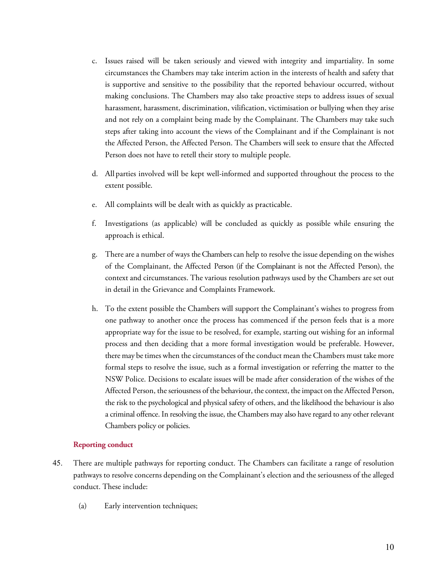- c. Issues raised will be taken seriously and viewed with integrity and impartiality. In some circumstances the Chambers may take interim action in the interests of health and safety that is supportive and sensitive to the possibility that the reported behaviour occurred, without making conclusions. The Chambers may also take proactive steps to address issues of sexual harassment, harassment, discrimination, vilification, victimisation or bullying when they arise and not rely on a complaint being made by the Complainant. The Chambers may take such steps after taking into account the views of the Complainant and if the Complainant is not the Affected Person, the Affected Person. The Chambers will seek to ensure that the Affected Person does not have to retell their story to multiple people.
- d. All parties involved will be kept well-informed and supported throughout the process to the extent possible.
- e. All complaints will be dealt with as quickly as practicable.
- f. Investigations (as applicable) will be concluded as quickly as possible while ensuring the approach is ethical.
- g. There are a number of ways the Chambers can help to resolve the issue depending on the wishes of the Complainant, the Affected Person (if the Complainant is not the Affected Person), the context and circumstances. The various resolution pathways used by the Chambers are set out in detail in the Grievance and Complaints Framework.
- h. To the extent possible the Chambers will support the Complainant's wishes to progress from one pathway to another once the process has commenced if the person feels that is a more appropriate way for the issue to be resolved, for example, starting out wishing for an informal process and then deciding that a more formal investigation would be preferable. However, there may be times when the circumstances of the conduct mean the Chambers must take more formal steps to resolve the issue, such as a formal investigation or referring the matter to the NSW Police. Decisions to escalate issues will be made after consideration of the wishes of the Affected Person, the seriousness of the behaviour, the context, the impact on the Affected Person, the risk to the psychological and physical safety of others, and the likelihood the behaviour is also a criminal offence. In resolving the issue, the Chambers may also have regard to any other relevant Chambers policy or policies.

#### **Reporting conduct**

- 45. There are multiple pathways for reporting conduct. The Chambers can facilitate a range of resolution pathways to resolve concerns depending on the Complainant's election and the seriousness of the alleged conduct. These include:
	- (a) Early intervention techniques;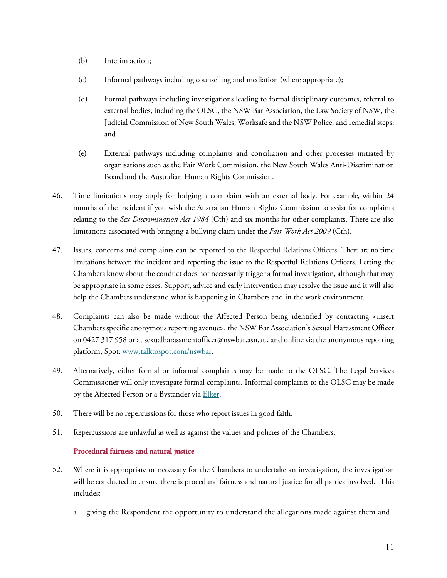- (b) Interim action;
- (c) Informal pathways including counselling and mediation (where appropriate);
- (d) Formal pathways including investigations leading to formal disciplinary outcomes, referral to external bodies, including the OLSC, the NSW Bar Association, the Law Society of NSW, the Judicial Commission of New South Wales, Worksafe and the NSW Police, and remedial steps; and
- (e) External pathways including complaints and conciliation and other processes initiated by organisations such as the Fair Work Commission, the New South Wales Anti-Discrimination Board and the Australian Human Rights Commission.
- 46. Time limitations may apply for lodging a complaint with an external body. For example, within 24 months of the incident if you wish the Australian Human Rights Commission to assist for complaints relating to the *Sex Discrimination Act 1984* (Cth) and six months for other complaints. There are also limitations associated with bringing a bullying claim under the *Fair Work Act 2009* (Cth).
- 47. Issues, concerns and complaints can be reported to the Respectful Relations Officers. There are no time limitations between the incident and reporting the issue to the Respectful Relations Officers. Letting the Chambers know about the conduct does not necessarily trigger a formal investigation, although that may be appropriate in some cases. Support, advice and early intervention may resolve the issue and it will also help the Chambers understand what is happening in Chambers and in the work environment.
- 48. Complaints can also be made without the Affected Person being identified by contacting <insert Chambers specific anonymous reporting avenue>, the NSW Bar Association's Sexual Harassment Officer on 0427 317 958 or at sexualharassmentofficer@nswbar.asn.au, and online via the anonymous reporting platform, Spot: [www.talktospot.com/nswbar.](http://www.talktospot.com/nswbar)
- 49. Alternatively, either formal or informal complaints may be made to the OLSC. The Legal Services Commissioner will only investigate formal complaints. Informal complaints to the OLSC may be made by the Affected Person or a Bystander via [Elker.](https://olsc.elker.com/report)
- 50. There will be no repercussions for those who report issues in good faith.
- 51. Repercussions are unlawful as well as against the values and policies of the Chambers.

### **Procedural fairness and natural justice**

- <span id="page-10-0"></span>52. Where it is appropriate or necessary for the Chambers to undertake an investigation, the investigation will be conducted to ensure there is procedural fairness and natural justice for all parties involved. This includes:
	- a. giving the Respondent the opportunity to understand the allegations made against them and